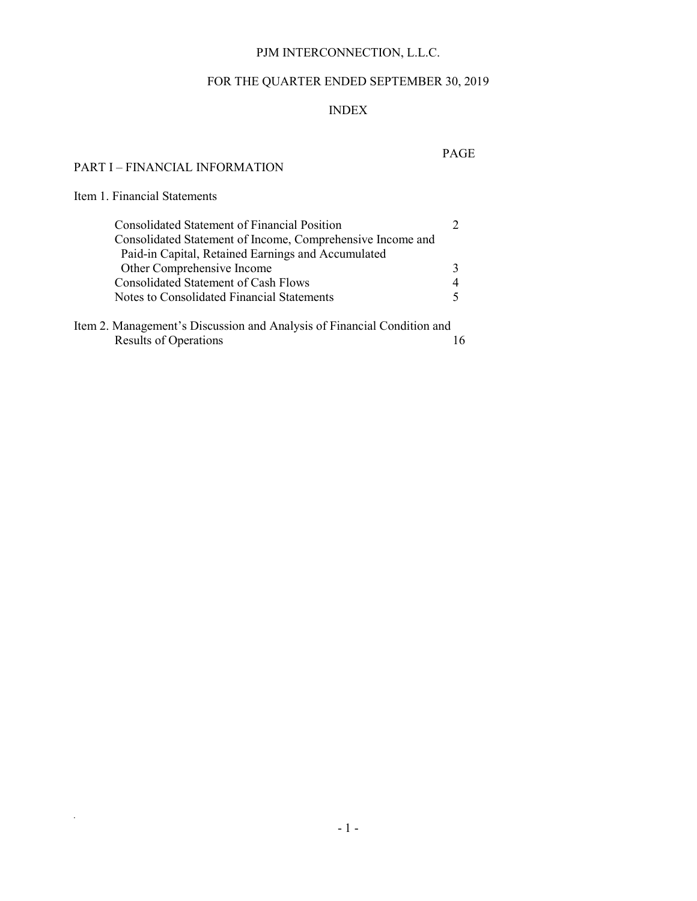# PJM INTERCONNECTION, L.L.C.

# FOR THE QUARTER ENDED SEPTEMBER 30, 2019

# INDEX

# PAGE

## PART I – FINANCIAL INFORMATION

# Item 1. Financial Statements

*.*

| <b>Consolidated Statement of Financial Position</b>        |  |
|------------------------------------------------------------|--|
| Consolidated Statement of Income, Comprehensive Income and |  |
| Paid-in Capital, Retained Earnings and Accumulated         |  |
| Other Comprehensive Income                                 |  |
| Consolidated Statement of Cash Flows                       |  |
| Notes to Consolidated Financial Statements                 |  |
|                                                            |  |

Item 2. Management's Discussion and Analysis of Financial Condition and Results of Operations 16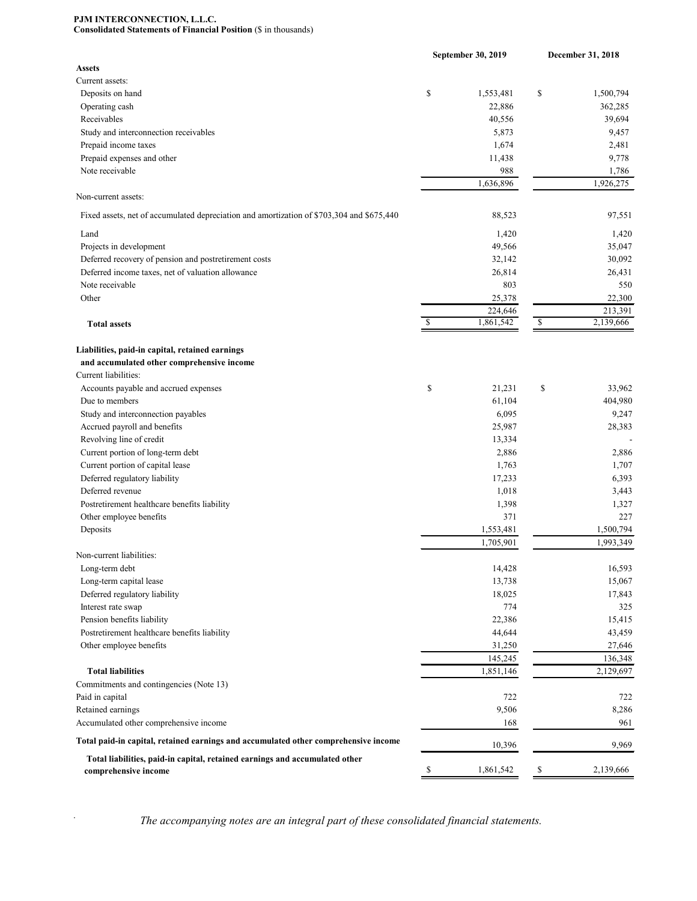#### **PJM INTERCONNECTION, L.L.C. Consolidated Statements of Financial Position** (\$ in thousands)

|                                                                                                     | September 30, 2019         | December 31, 2018 |                      |  |
|-----------------------------------------------------------------------------------------------------|----------------------------|-------------------|----------------------|--|
| <b>Assets</b>                                                                                       |                            |                   |                      |  |
| Current assets:                                                                                     |                            |                   |                      |  |
| Deposits on hand                                                                                    | \$<br>1,553,481            | \$                | 1,500,794            |  |
| Operating cash                                                                                      | 22,886                     |                   | 362,285              |  |
| Receivables                                                                                         | 40,556                     |                   | 39,694               |  |
| Study and interconnection receivables                                                               | 5,873                      |                   | 9,457                |  |
| Prepaid income taxes                                                                                | 1,674                      |                   | 2,481                |  |
| Prepaid expenses and other                                                                          | 11,438                     |                   | 9,778                |  |
| Note receivable                                                                                     | 988                        |                   | 1,786                |  |
| Non-current assets:                                                                                 | 1,636,896                  |                   | 1,926,275            |  |
| Fixed assets, net of accumulated depreciation and amortization of \$703,304 and \$675,440           | 88,523                     |                   | 97,551               |  |
| Land                                                                                                | 1,420                      |                   | 1,420                |  |
| Projects in development                                                                             | 49,566                     |                   | 35,047               |  |
| Deferred recovery of pension and postretirement costs                                               | 32,142                     |                   | 30,092               |  |
| Deferred income taxes, net of valuation allowance                                                   | 26,814                     |                   | 26,431               |  |
| Note receivable                                                                                     |                            |                   |                      |  |
| Other                                                                                               | 803                        |                   | 550                  |  |
|                                                                                                     | 25,378                     |                   | 22,300               |  |
| <b>Total assets</b>                                                                                 | \$<br>224,646<br>1,861,542 | \$                | 213,391<br>2,139,666 |  |
|                                                                                                     |                            |                   |                      |  |
| Liabilities, paid-in capital, retained earnings                                                     |                            |                   |                      |  |
| and accumulated other comprehensive income                                                          |                            |                   |                      |  |
| Current liabilities:                                                                                |                            |                   |                      |  |
| Accounts payable and accrued expenses                                                               | \$<br>21,231               | \$                | 33,962               |  |
| Due to members                                                                                      | 61,104                     |                   | 404,980              |  |
| Study and interconnection payables                                                                  | 6,095                      |                   | 9,247                |  |
| Accrued payroll and benefits                                                                        | 25,987                     |                   | 28,383               |  |
| Revolving line of credit                                                                            | 13,334                     |                   |                      |  |
| Current portion of long-term debt                                                                   | 2,886                      |                   | 2,886                |  |
| Current portion of capital lease                                                                    | 1,763                      |                   | 1,707                |  |
| Deferred regulatory liability                                                                       | 17,233                     |                   | 6,393                |  |
| Deferred revenue                                                                                    | 1,018                      |                   | 3,443                |  |
| Postretirement healthcare benefits liability                                                        | 1,398                      |                   | 1,327                |  |
| Other employee benefits                                                                             | 371                        |                   | 227                  |  |
| Deposits                                                                                            | 1,553,481                  |                   | 1,500,794            |  |
|                                                                                                     | 1,705,901                  |                   | 1,993,349            |  |
| Non-current liabilities:                                                                            |                            |                   |                      |  |
| Long-term debt                                                                                      | 14,428                     |                   | 16,593               |  |
| Long-term capital lease                                                                             | 13,738                     |                   | 15,067               |  |
| Deferred regulatory liability                                                                       | 18,025                     |                   | 17,843               |  |
| Interest rate swap                                                                                  | 774                        |                   | 325                  |  |
| Pension benefits liability                                                                          | 22,386                     |                   | 15,415               |  |
| Postretirement healthcare benefits liability                                                        | 44,644                     |                   | 43,459               |  |
| Other employee benefits                                                                             | 31,250                     |                   | 27,646               |  |
|                                                                                                     | 145,245                    |                   | 136,348              |  |
| <b>Total liabilities</b>                                                                            | 1,851,146                  |                   | 2,129,697            |  |
| Commitments and contingencies (Note 13)                                                             |                            |                   |                      |  |
| Paid in capital                                                                                     | 722                        |                   | 722                  |  |
| Retained earnings                                                                                   | 9,506                      |                   | 8,286                |  |
| Accumulated other comprehensive income                                                              | 168                        |                   | 961                  |  |
| Total paid-in capital, retained earnings and accumulated other comprehensive income                 | 10,396                     |                   | 9,969                |  |
| Total liabilities, paid-in capital, retained earnings and accumulated other<br>comprehensive income | 1,861,542                  | \$                | 2,139,666            |  |
|                                                                                                     |                            |                   |                      |  |

The accompanying notes are an integral part of these consolidated financial statements.

*.*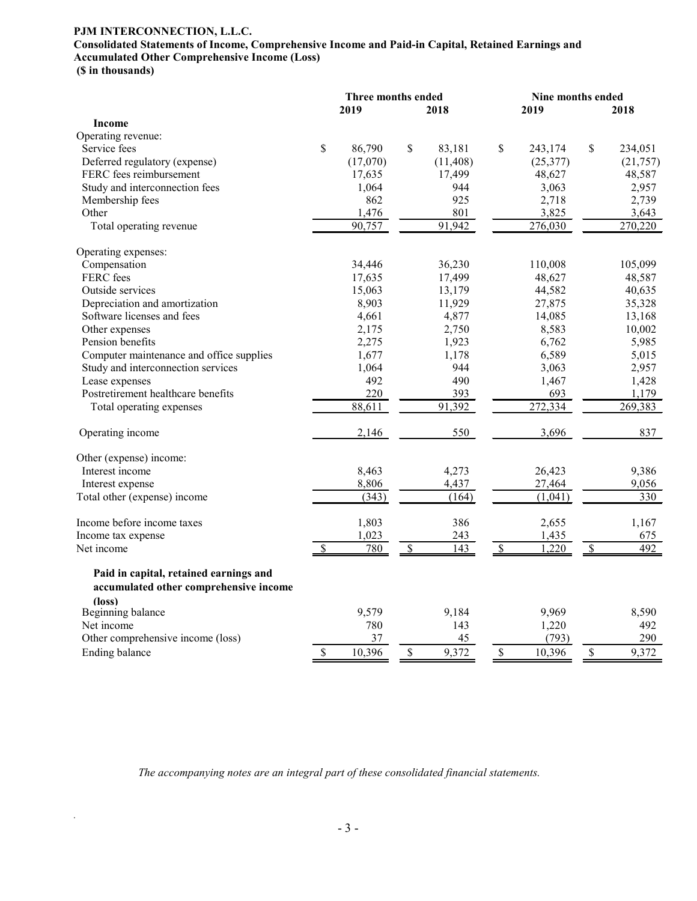### **PJM INTERCONNECTION, L.L.C.**

# **Consolidated Statements of Income, Comprehensive Income and Paid-in Capital, Retained Earnings and Accumulated Other Comprehensive Income (Loss)**

**(\$ in thousands)**

*.*

|                                          |    | Three months ended |              | Nine months ended |           |                          |          |  |  |
|------------------------------------------|----|--------------------|--------------|-------------------|-----------|--------------------------|----------|--|--|
|                                          |    | 2019               | 2018         |                   | 2019      |                          | 2018     |  |  |
| <b>Income</b>                            |    |                    |              |                   |           |                          |          |  |  |
| Operating revenue:                       |    |                    |              |                   |           |                          |          |  |  |
| Service fees                             | \$ | 86,790             | \$<br>83,181 | \$                | 243,174   | \$                       | 234,051  |  |  |
| Deferred regulatory (expense)            |    | (17,070)           | (11, 408)    |                   | (25, 377) |                          | (21,757) |  |  |
| FERC fees reimbursement                  |    | 17,635             | 17,499       |                   | 48,627    |                          | 48,587   |  |  |
| Study and interconnection fees           |    | 1,064              | 944          |                   | 3,063     |                          | 2,957    |  |  |
| Membership fees                          |    | 862                | 925          |                   | 2,718     |                          | 2,739    |  |  |
| Other                                    |    | 1,476              | 801          |                   | 3,825     |                          | 3,643    |  |  |
| Total operating revenue                  |    | 90,757             | 91,942       |                   | 276,030   |                          | 270,220  |  |  |
| Operating expenses:                      |    |                    |              |                   |           |                          |          |  |  |
| Compensation                             |    | 34,446             | 36,230       |                   | 110,008   |                          | 105,099  |  |  |
| FERC fees                                |    | 17,635             | 17,499       |                   | 48,627    |                          | 48,587   |  |  |
| Outside services                         |    | 15,063             | 13,179       |                   | 44,582    |                          | 40,635   |  |  |
| Depreciation and amortization            |    | 8,903              | 11,929       |                   | 27,875    |                          | 35,328   |  |  |
| Software licenses and fees               |    | 4,661              | 4,877        |                   | 14,085    |                          | 13,168   |  |  |
| Other expenses                           |    | 2,175              | 2,750        |                   | 8,583     |                          | 10,002   |  |  |
| Pension benefits                         |    | 2,275              | 1,923        |                   | 6,762     |                          | 5,985    |  |  |
| Computer maintenance and office supplies |    | 1,677              | 1,178        |                   | 6,589     |                          | 5,015    |  |  |
| Study and interconnection services       |    | 1,064              | 944          |                   | 3,063     |                          | 2,957    |  |  |
| Lease expenses                           |    | 492                | 490          |                   | 1,467     |                          | 1,428    |  |  |
| Postretirement healthcare benefits       |    | 220                | 393          |                   | 693       |                          | 1,179    |  |  |
| Total operating expenses                 |    | 88,611             | 91,392       |                   | 272,334   |                          | 269,383  |  |  |
| Operating income                         |    | 2,146              | 550          |                   | 3,696     |                          | 837      |  |  |
| Other (expense) income:                  |    |                    |              |                   |           |                          |          |  |  |
| Interest income                          |    | 8,463              | 4,273        |                   | 26,423    |                          | 9,386    |  |  |
| Interest expense                         |    | 8,806              | 4,437        |                   | 27,464    |                          | 9,056    |  |  |
| Total other (expense) income             |    | (343)              | (164)        |                   | (1,041)   |                          | 330      |  |  |
| Income before income taxes               |    | 1,803              | 386          |                   | 2,655     |                          | 1,167    |  |  |
| Income tax expense                       |    | 1,023              | 243          |                   | 1,435     |                          | 675      |  |  |
| Net income                               | S  | 780                | \$<br>143    | $\mathcal{S}$     | 1,220     | $\overline{\mathcal{S}}$ | 492      |  |  |
| Paid in capital, retained earnings and   |    |                    |              |                   |           |                          |          |  |  |
| accumulated other comprehensive income   |    |                    |              |                   |           |                          |          |  |  |
| (loss)                                   |    |                    |              |                   |           |                          |          |  |  |
| Beginning balance                        |    | 9,579              | 9,184        |                   | 9,969     |                          | 8,590    |  |  |
| Net income                               |    | 780                | 143          |                   | 1,220     |                          | 492      |  |  |
| Other comprehensive income (loss)        |    | 37                 | 45           |                   | (793)     |                          | 290      |  |  |
| Ending balance                           | \$ | 10,396             | \$<br>9,372  | \$                | 10,396    | \$                       | 9,372    |  |  |

*The accompanying notes are an integral part of these consolidated financial statements.*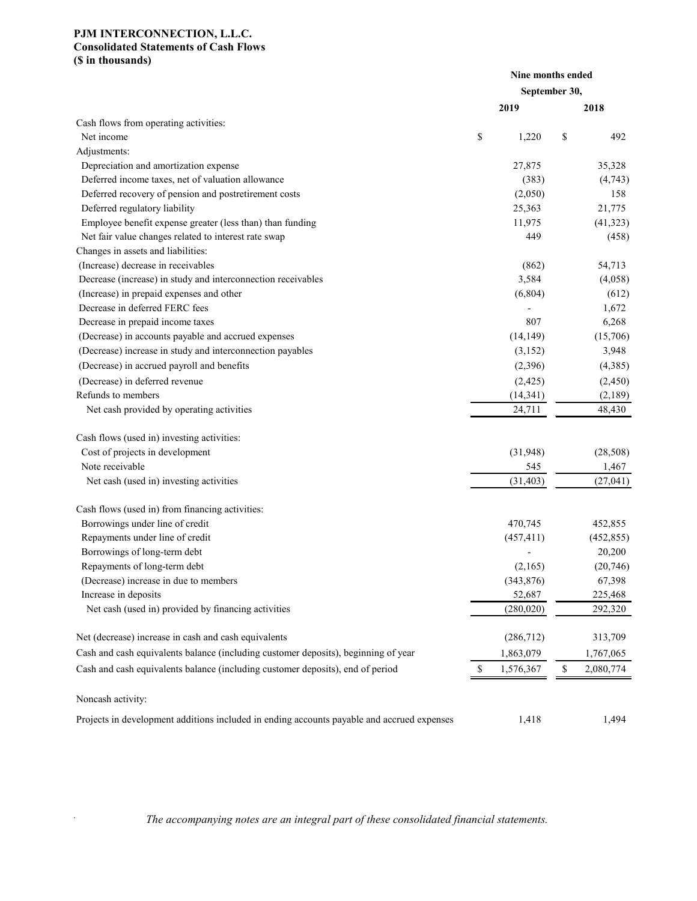### **PJM INTERCONNECTION, L.L.C. Consolidated Statements of Cash Flows (\$ in thousands)**

*.*

|                                                                                            |                 | Nine months ended |
|--------------------------------------------------------------------------------------------|-----------------|-------------------|
|                                                                                            |                 | September 30,     |
|                                                                                            | 2019            | 2018              |
| Cash flows from operating activities:                                                      |                 |                   |
| Net income                                                                                 | \$<br>1,220     | \$<br>492         |
| Adjustments:                                                                               |                 |                   |
| Depreciation and amortization expense                                                      | 27,875          | 35,328            |
| Deferred income taxes, net of valuation allowance                                          | (383)           | (4,743)           |
| Deferred recovery of pension and postretirement costs                                      | (2,050)         | 158               |
| Deferred regulatory liability                                                              | 25,363          | 21,775            |
| Employee benefit expense greater (less than) than funding                                  | 11,975          | (41, 323)         |
| Net fair value changes related to interest rate swap                                       | 449             | (458)             |
| Changes in assets and liabilities:                                                         |                 |                   |
| (Increase) decrease in receivables                                                         | (862)           | 54,713            |
| Decrease (increase) in study and interconnection receivables                               | 3,584           | (4,058)           |
| (Increase) in prepaid expenses and other                                                   | (6,804)         | (612)             |
| Decrease in deferred FERC fees                                                             |                 | 1,672             |
| Decrease in prepaid income taxes                                                           | 807             | 6,268             |
| (Decrease) in accounts payable and accrued expenses                                        | (14, 149)       | (15,706)          |
| (Decrease) increase in study and interconnection payables                                  | (3,152)         | 3,948             |
| (Decrease) in accrued payroll and benefits                                                 | (2,396)         | (4,385)           |
| (Decrease) in deferred revenue                                                             | (2, 425)        | (2, 450)          |
| Refunds to members                                                                         | (14, 341)       | (2,189)           |
| Net cash provided by operating activities                                                  | 24,711          | 48,430            |
| Cash flows (used in) investing activities:                                                 |                 |                   |
| Cost of projects in development                                                            | (31,948)        | (28, 508)         |
| Note receivable                                                                            | 545             | 1,467             |
| Net cash (used in) investing activities                                                    | (31, 403)       | (27, 041)         |
| Cash flows (used in) from financing activities:                                            |                 |                   |
| Borrowings under line of credit                                                            | 470,745         | 452,855           |
| Repayments under line of credit                                                            | (457, 411)      | (452, 855)        |
| Borrowings of long-term debt                                                               |                 | 20,200            |
| Repayments of long-term debt                                                               | (2,165)         | (20, 746)         |
| (Decrease) increase in due to members                                                      | (343, 876)      | 67,398            |
| Increase in deposits                                                                       | 52,687          | 225,468           |
| Net cash (used in) provided by financing activities                                        | (280, 020)      | 292,320           |
| Net (decrease) increase in cash and cash equivalents                                       | (286, 712)      | 313,709           |
| Cash and cash equivalents balance (including customer deposits), beginning of year         | 1,863,079       | 1,767,065         |
| Cash and cash equivalents balance (including customer deposits), end of period             | \$<br>1,576,367 | \$<br>2,080,774   |
| Noncash activity:                                                                          |                 |                   |
| Projects in development additions included in ending accounts payable and accrued expenses | 1,418           | 1,494             |
|                                                                                            |                 |                   |

The accompanying notes are an integral part of these consolidated financial statements.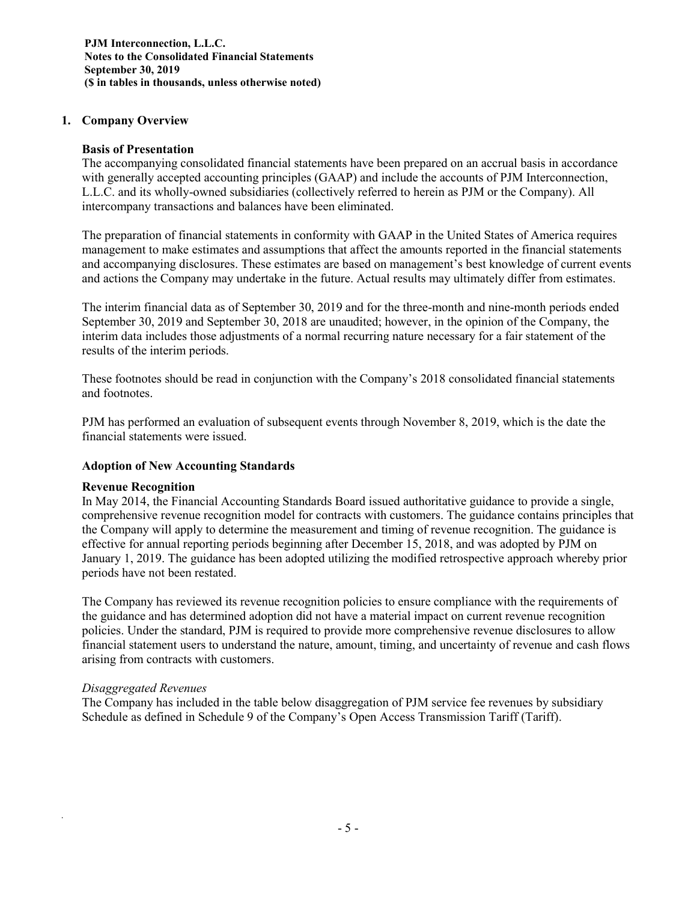**PJM Interconnection, L.L.C. Notes to the Consolidated Financial Statements September 30, 2019 (\$ in tables in thousands, unless otherwise noted)**

### **1. Company Overview**

#### **Basis of Presentation**

The accompanying consolidated financial statements have been prepared on an accrual basis in accordance with generally accepted accounting principles (GAAP) and include the accounts of PJM Interconnection, L.L.C. and its wholly-owned subsidiaries (collectively referred to herein as PJM or the Company). All intercompany transactions and balances have been eliminated.

The preparation of financial statements in conformity with GAAP in the United States of America requires management to make estimates and assumptions that affect the amounts reported in the financial statements and accompanying disclosures. These estimates are based on management's best knowledge of current events and actions the Company may undertake in the future. Actual results may ultimately differ from estimates.

The interim financial data as of September 30, 2019 and for the three-month and nine-month periods ended September 30, 2019 and September 30, 2018 are unaudited; however, in the opinion of the Company, the interim data includes those adjustments of a normal recurring nature necessary for a fair statement of the results of the interim periods.

These footnotes should be read in conjunction with the Company's 2018 consolidated financial statements and footnotes.

PJM has performed an evaluation of subsequent events through November 8, 2019, which is the date the financial statements were issued.

### **Adoption of New Accounting Standards**

#### **Revenue Recognition**

In May 2014, the Financial Accounting Standards Board issued authoritative guidance to provide a single, comprehensive revenue recognition model for contracts with customers. The guidance contains principles that the Company will apply to determine the measurement and timing of revenue recognition. The guidance is effective for annual reporting periods beginning after December 15, 2018, and was adopted by PJM on January 1, 2019. The guidance has been adopted utilizing the modified retrospective approach whereby prior periods have not been restated.

The Company has reviewed its revenue recognition policies to ensure compliance with the requirements of the guidance and has determined adoption did not have a material impact on current revenue recognition policies. Under the standard, PJM is required to provide more comprehensive revenue disclosures to allow financial statement users to understand the nature, amount, timing, and uncertainty of revenue and cash flows arising from contracts with customers.

### *Disaggregated Revenues*

*.*

The Company has included in the table below disaggregation of PJM service fee revenues by subsidiary Schedule as defined in Schedule 9 of the Company's Open Access Transmission Tariff (Tariff).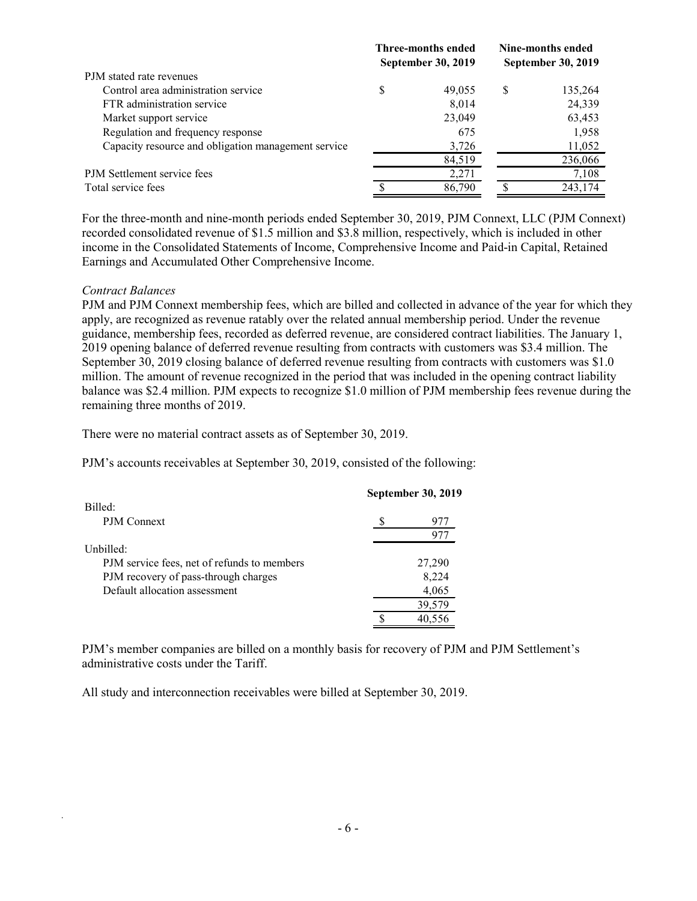|                                                     | Three-months ended<br><b>September 30, 2019</b> |        |   | Nine-months ended<br><b>September 30, 2019</b> |
|-----------------------------------------------------|-------------------------------------------------|--------|---|------------------------------------------------|
| PJM stated rate revenues                            |                                                 |        |   |                                                |
| Control area administration service                 | \$                                              | 49,055 | S | 135,264                                        |
| FTR administration service                          |                                                 | 8,014  |   | 24,339                                         |
| Market support service                              |                                                 | 23,049 |   | 63,453                                         |
| Regulation and frequency response                   |                                                 | 675    |   | 1,958                                          |
| Capacity resource and obligation management service |                                                 | 3,726  |   | 11,052                                         |
|                                                     |                                                 | 84,519 |   | 236,066                                        |
| PJM Settlement service fees                         |                                                 | 2,271  |   | 7,108                                          |
| Total service fees                                  |                                                 | 86,790 |   | 243,174                                        |

For the three-month and nine-month periods ended September 30, 2019, PJM Connext, LLC (PJM Connext) recorded consolidated revenue of \$1.5 million and \$3.8 million, respectively, which is included in other income in the Consolidated Statements of Income, Comprehensive Income and Paid-in Capital, Retained Earnings and Accumulated Other Comprehensive Income.

#### *Contract Balances*

*.*

PJM and PJM Connext membership fees, which are billed and collected in advance of the year for which they apply, are recognized as revenue ratably over the related annual membership period. Under the revenue guidance, membership fees, recorded as deferred revenue, are considered contract liabilities. The January 1, 2019 opening balance of deferred revenue resulting from contracts with customers was \$3.4 million. The September 30, 2019 closing balance of deferred revenue resulting from contracts with customers was \$1.0 million. The amount of revenue recognized in the period that was included in the opening contract liability balance was \$2.4 million. PJM expects to recognize \$1.0 million of PJM membership fees revenue during the remaining three months of 2019.

There were no material contract assets as of September 30, 2019.

PJM's accounts receivables at September 30, 2019, consisted of the following:

| Billed:                                     | <b>September 30, 2019</b> |
|---------------------------------------------|---------------------------|
|                                             |                           |
| PJM Connext                                 | 977                       |
|                                             | 977                       |
| Unbilled:                                   |                           |
| PJM service fees, net of refunds to members | 27,290                    |
| PJM recovery of pass-through charges        | 8,224                     |
| Default allocation assessment               | 4,065                     |
|                                             | 39,579                    |
|                                             | 40.556                    |
|                                             |                           |

PJM's member companies are billed on a monthly basis for recovery of PJM and PJM Settlement's administrative costs under the Tariff.

All study and interconnection receivables were billed at September 30, 2019.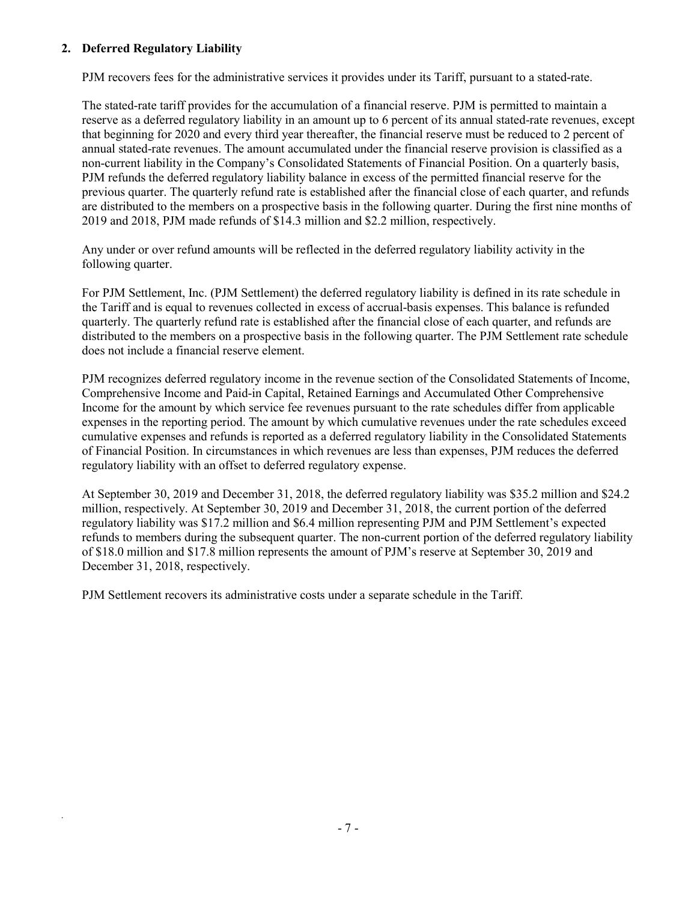### **2. Deferred Regulatory Liability**

*.*

PJM recovers fees for the administrative services it provides under its Tariff, pursuant to a stated-rate.

The stated-rate tariff provides for the accumulation of a financial reserve. PJM is permitted to maintain a reserve as a deferred regulatory liability in an amount up to 6 percent of its annual stated-rate revenues, except that beginning for 2020 and every third year thereafter, the financial reserve must be reduced to 2 percent of annual stated-rate revenues. The amount accumulated under the financial reserve provision is classified as a non-current liability in the Company's Consolidated Statements of Financial Position. On a quarterly basis, PJM refunds the deferred regulatory liability balance in excess of the permitted financial reserve for the previous quarter. The quarterly refund rate is established after the financial close of each quarter, and refunds are distributed to the members on a prospective basis in the following quarter. During the first nine months of 2019 and 2018, PJM made refunds of \$14.3 million and \$2.2 million, respectively.

Any under or over refund amounts will be reflected in the deferred regulatory liability activity in the following quarter.

For PJM Settlement, Inc. (PJM Settlement) the deferred regulatory liability is defined in its rate schedule in the Tariff and is equal to revenues collected in excess of accrual-basis expenses. This balance is refunded quarterly. The quarterly refund rate is established after the financial close of each quarter, and refunds are distributed to the members on a prospective basis in the following quarter. The PJM Settlement rate schedule does not include a financial reserve element.

PJM recognizes deferred regulatory income in the revenue section of the Consolidated Statements of Income, Comprehensive Income and Paid-in Capital, Retained Earnings and Accumulated Other Comprehensive Income for the amount by which service fee revenues pursuant to the rate schedules differ from applicable expenses in the reporting period. The amount by which cumulative revenues under the rate schedules exceed cumulative expenses and refunds is reported as a deferred regulatory liability in the Consolidated Statements of Financial Position. In circumstances in which revenues are less than expenses, PJM reduces the deferred regulatory liability with an offset to deferred regulatory expense.

At September 30, 2019 and December 31, 2018, the deferred regulatory liability was \$35.2 million and \$24.2 million, respectively. At September 30, 2019 and December 31, 2018, the current portion of the deferred regulatory liability was \$17.2 million and \$6.4 million representing PJM and PJM Settlement's expected refunds to members during the subsequent quarter. The non-current portion of the deferred regulatory liability of \$18.0 million and \$17.8 million represents the amount of PJM's reserve at September 30, 2019 and December 31, 2018, respectively.

PJM Settlement recovers its administrative costs under a separate schedule in the Tariff.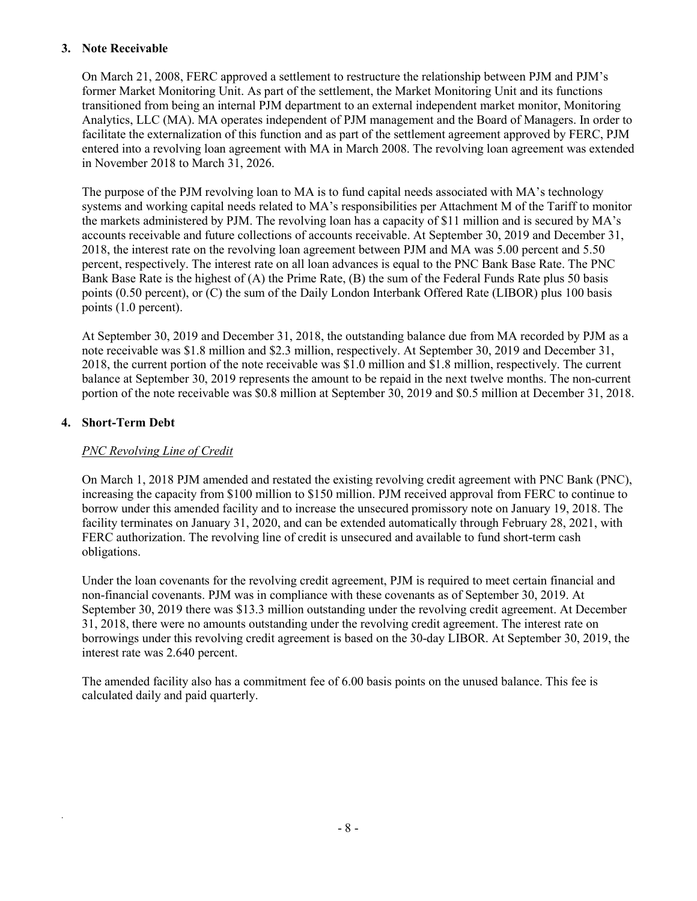### **3. Note Receivable**

On March 21, 2008, FERC approved a settlement to restructure the relationship between PJM and PJM's former Market Monitoring Unit. As part of the settlement, the Market Monitoring Unit and its functions transitioned from being an internal PJM department to an external independent market monitor, Monitoring Analytics, LLC (MA). MA operates independent of PJM management and the Board of Managers. In order to facilitate the externalization of this function and as part of the settlement agreement approved by FERC, PJM entered into a revolving loan agreement with MA in March 2008. The revolving loan agreement was extended in November 2018 to March 31, 2026.

The purpose of the PJM revolving loan to MA is to fund capital needs associated with MA's technology systems and working capital needs related to MA's responsibilities per Attachment M of the Tariff to monitor the markets administered by PJM. The revolving loan has a capacity of \$11 million and is secured by MA's accounts receivable and future collections of accounts receivable. At September 30, 2019 and December 31, 2018, the interest rate on the revolving loan agreement between PJM and MA was 5.00 percent and 5.50 percent, respectively. The interest rate on all loan advances is equal to the PNC Bank Base Rate. The PNC Bank Base Rate is the highest of (A) the Prime Rate, (B) the sum of the Federal Funds Rate plus 50 basis points (0.50 percent), or (C) the sum of the Daily London Interbank Offered Rate (LIBOR) plus 100 basis points (1.0 percent).

At September 30, 2019 and December 31, 2018, the outstanding balance due from MA recorded by PJM as a note receivable was \$1.8 million and \$2.3 million, respectively. At September 30, 2019 and December 31, 2018, the current portion of the note receivable was \$1.0 million and \$1.8 million, respectively. The current balance at September 30, 2019 represents the amount to be repaid in the next twelve months. The non-current portion of the note receivable was \$0.8 million at September 30, 2019 and \$0.5 million at December 31, 2018.

# **4. Short-Term Debt**

*.*

# *PNC Revolving Line of Credit*

On March 1, 2018 PJM amended and restated the existing revolving credit agreement with PNC Bank (PNC), increasing the capacity from \$100 million to \$150 million. PJM received approval from FERC to continue to borrow under this amended facility and to increase the unsecured promissory note on January 19, 2018. The facility terminates on January 31, 2020, and can be extended automatically through February 28, 2021, with FERC authorization. The revolving line of credit is unsecured and available to fund short-term cash obligations.

Under the loan covenants for the revolving credit agreement, PJM is required to meet certain financial and non-financial covenants. PJM was in compliance with these covenants as of September 30, 2019. At September 30, 2019 there was \$13.3 million outstanding under the revolving credit agreement. At December 31, 2018, there were no amounts outstanding under the revolving credit agreement. The interest rate on borrowings under this revolving credit agreement is based on the 30-day LIBOR. At September 30, 2019, the interest rate was 2.640 percent.

The amended facility also has a commitment fee of 6.00 basis points on the unused balance. This fee is calculated daily and paid quarterly.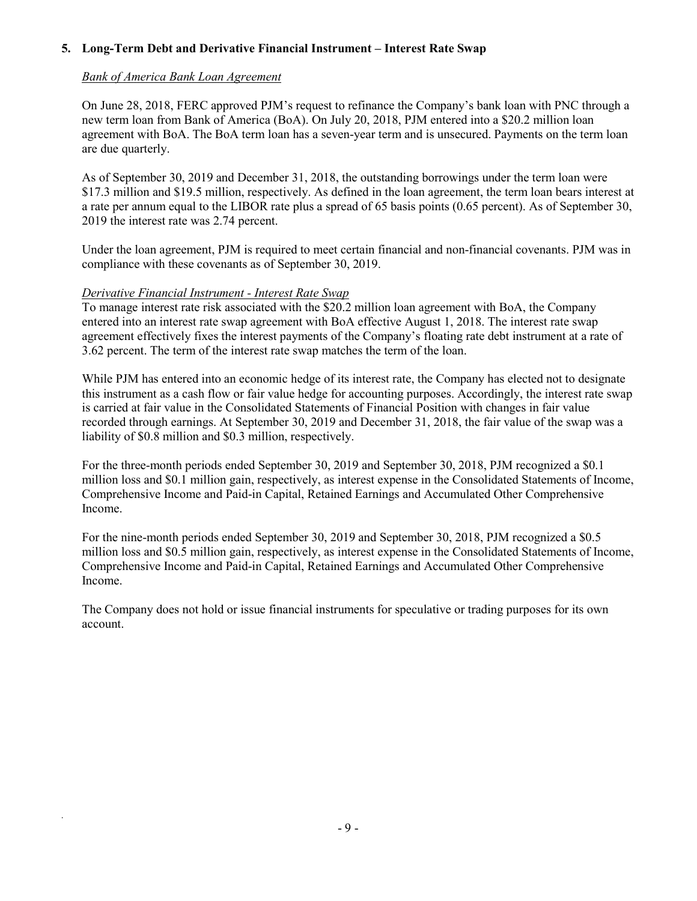# **5. Long-Term Debt and Derivative Financial Instrument – Interest Rate Swap**

### *Bank of America Bank Loan Agreement*

On June 28, 2018, FERC approved PJM's request to refinance the Company's bank loan with PNC through a new term loan from Bank of America (BoA). On July 20, 2018, PJM entered into a \$20.2 million loan agreement with BoA. The BoA term loan has a seven-year term and is unsecured. Payments on the term loan are due quarterly.

As of September 30, 2019 and December 31, 2018, the outstanding borrowings under the term loan were \$17.3 million and \$19.5 million, respectively. As defined in the loan agreement, the term loan bears interest at a rate per annum equal to the LIBOR rate plus a spread of 65 basis points (0.65 percent). As of September 30, 2019 the interest rate was 2.74 percent.

Under the loan agreement, PJM is required to meet certain financial and non-financial covenants. PJM was in compliance with these covenants as of September 30, 2019.

### *Derivative Financial Instrument - Interest Rate Swap*

*.*

To manage interest rate risk associated with the \$20.2 million loan agreement with BoA, the Company entered into an interest rate swap agreement with BoA effective August 1, 2018. The interest rate swap agreement effectively fixes the interest payments of the Company's floating rate debt instrument at a rate of 3.62 percent. The term of the interest rate swap matches the term of the loan.

While PJM has entered into an economic hedge of its interest rate, the Company has elected not to designate this instrument as a cash flow or fair value hedge for accounting purposes. Accordingly, the interest rate swap is carried at fair value in the Consolidated Statements of Financial Position with changes in fair value recorded through earnings. At September 30, 2019 and December 31, 2018, the fair value of the swap was a liability of \$0.8 million and \$0.3 million, respectively.

For the three-month periods ended September 30, 2019 and September 30, 2018, PJM recognized a \$0.1 million loss and \$0.1 million gain, respectively, as interest expense in the Consolidated Statements of Income, Comprehensive Income and Paid-in Capital, Retained Earnings and Accumulated Other Comprehensive Income.

For the nine-month periods ended September 30, 2019 and September 30, 2018, PJM recognized a \$0.5 million loss and \$0.5 million gain, respectively, as interest expense in the Consolidated Statements of Income, Comprehensive Income and Paid-in Capital, Retained Earnings and Accumulated Other Comprehensive Income.

The Company does not hold or issue financial instruments for speculative or trading purposes for its own account.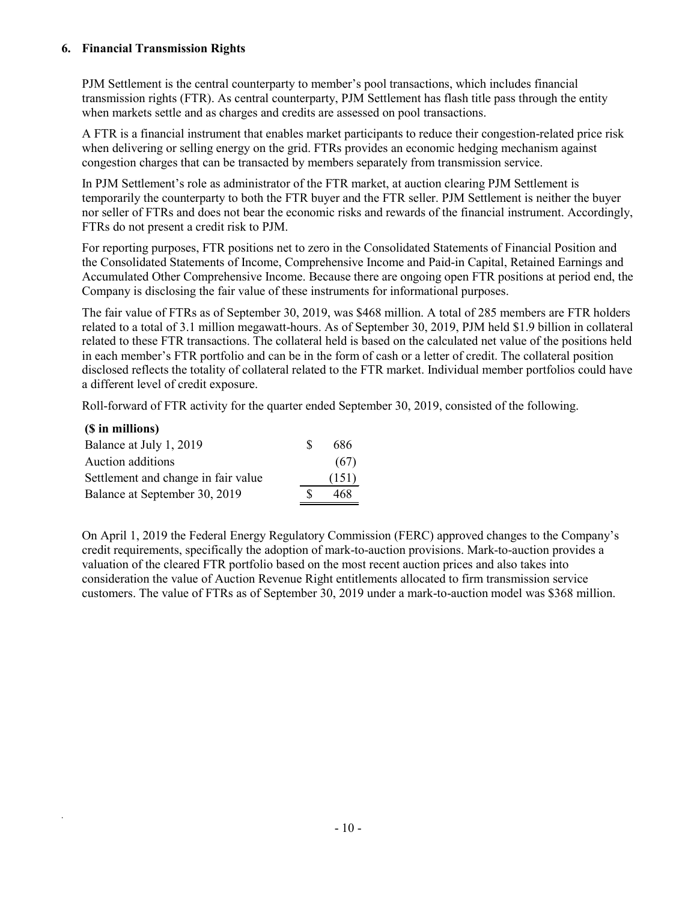# **6. Financial Transmission Rights**

PJM Settlement is the central counterparty to member's pool transactions, which includes financial transmission rights (FTR). As central counterparty, PJM Settlement has flash title pass through the entity when markets settle and as charges and credits are assessed on pool transactions.

A FTR is a financial instrument that enables market participants to reduce their congestion-related price risk when delivering or selling energy on the grid. FTRs provides an economic hedging mechanism against congestion charges that can be transacted by members separately from transmission service.

In PJM Settlement's role as administrator of the FTR market, at auction clearing PJM Settlement is temporarily the counterparty to both the FTR buyer and the FTR seller. PJM Settlement is neither the buyer nor seller of FTRs and does not bear the economic risks and rewards of the financial instrument. Accordingly, FTRs do not present a credit risk to PJM.

For reporting purposes, FTR positions net to zero in the Consolidated Statements of Financial Position and the Consolidated Statements of Income, Comprehensive Income and Paid-in Capital, Retained Earnings and Accumulated Other Comprehensive Income. Because there are ongoing open FTR positions at period end, the Company is disclosing the fair value of these instruments for informational purposes.

The fair value of FTRs as of September 30, 2019, was \$468 million. A total of 285 members are FTR holders related to a total of 3.1 million megawatt-hours. As of September 30, 2019, PJM held \$1.9 billion in collateral related to these FTR transactions. The collateral held is based on the calculated net value of the positions held in each member's FTR portfolio and can be in the form of cash or a letter of credit. The collateral position disclosed reflects the totality of collateral related to the FTR market. Individual member portfolios could have a different level of credit exposure.

Roll-forward of FTR activity for the quarter ended September 30, 2019, consisted of the following.

# **(\$ in millions)**

*.*

| Balance at July 1, 2019             | S | 686   |
|-------------------------------------|---|-------|
| Auction additions                   |   | (67)  |
| Settlement and change in fair value |   | (151) |
| Balance at September 30, 2019       |   | 468   |

On April 1, 2019 the Federal Energy Regulatory Commission (FERC) approved changes to the Company's credit requirements, specifically the adoption of mark-to-auction provisions. Mark-to-auction provides a valuation of the cleared FTR portfolio based on the most recent auction prices and also takes into consideration the value of Auction Revenue Right entitlements allocated to firm transmission service customers. The value of FTRs as of September 30, 2019 under a mark-to-auction model was \$368 million.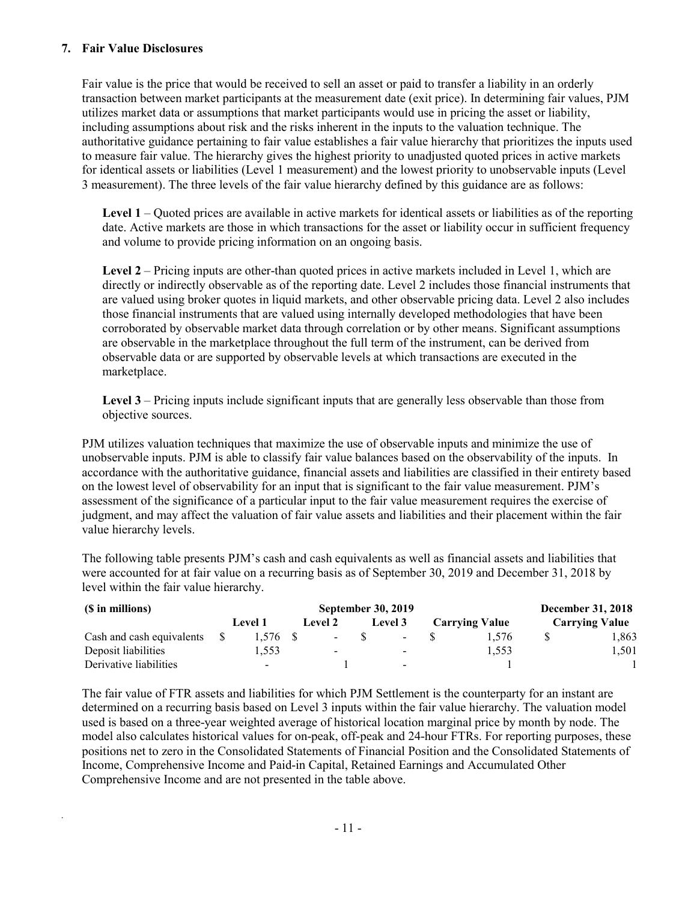### **7. Fair Value Disclosures**

*.*

Fair value is the price that would be received to sell an asset or paid to transfer a liability in an orderly transaction between market participants at the measurement date (exit price). In determining fair values, PJM utilizes market data or assumptions that market participants would use in pricing the asset or liability, including assumptions about risk and the risks inherent in the inputs to the valuation technique. The authoritative guidance pertaining to fair value establishes a fair value hierarchy that prioritizes the inputs used to measure fair value. The hierarchy gives the highest priority to unadjusted quoted prices in active markets for identical assets or liabilities (Level 1 measurement) and the lowest priority to unobservable inputs (Level 3 measurement). The three levels of the fair value hierarchy defined by this guidance are as follows:

**Level 1** – Quoted prices are available in active markets for identical assets or liabilities as of the reporting date. Active markets are those in which transactions for the asset or liability occur in sufficient frequency and volume to provide pricing information on an ongoing basis.

Level 2 – Pricing inputs are other-than quoted prices in active markets included in Level 1, which are directly or indirectly observable as of the reporting date. Level 2 includes those financial instruments that are valued using broker quotes in liquid markets, and other observable pricing data. Level 2 also includes those financial instruments that are valued using internally developed methodologies that have been corroborated by observable market data through correlation or by other means. Significant assumptions are observable in the marketplace throughout the full term of the instrument, can be derived from observable data or are supported by observable levels at which transactions are executed in the marketplace.

**Level 3** – Pricing inputs include significant inputs that are generally less observable than those from objective sources.

PJM utilizes valuation techniques that maximize the use of observable inputs and minimize the use of unobservable inputs. PJM is able to classify fair value balances based on the observability of the inputs. In accordance with the authoritative guidance, financial assets and liabilities are classified in their entirety based on the lowest level of observability for an input that is significant to the fair value measurement. PJM's assessment of the significance of a particular input to the fair value measurement requires the exercise of judgment, and may affect the valuation of fair value assets and liabilities and their placement within the fair value hierarchy levels.

The following table presents PJM's cash and cash equivalents as well as financial assets and liabilities that were accounted for at fair value on a recurring basis as of September 30, 2019 and December 31, 2018 by level within the fair value hierarchy.

| (\$ in millions)          |  |                          |                          |         | September 30, 2019       |                       |       |                       | <b>December 31, 2018</b> |
|---------------------------|--|--------------------------|--------------------------|---------|--------------------------|-----------------------|-------|-----------------------|--------------------------|
|                           |  | <b>Level 1</b>           | <b>Level 2</b>           | Level 3 |                          | <b>Carrying Value</b> |       | <b>Carrying Value</b> |                          |
| Cash and cash equivalents |  | $1.576$ \$               | $\sim$                   |         | $\sim$                   |                       | 1.576 |                       | l,863                    |
| Deposit liabilities       |  | 1.553                    | $\overline{\phantom{0}}$ |         | $\blacksquare$           |                       | 1.553 |                       | l.501                    |
| Derivative liabilities    |  | $\overline{\phantom{a}}$ |                          |         | $\overline{\phantom{a}}$ |                       |       |                       |                          |

The fair value of FTR assets and liabilities for which PJM Settlement is the counterparty for an instant are determined on a recurring basis based on Level 3 inputs within the fair value hierarchy. The valuation model used is based on a three-year weighted average of historical location marginal price by month by node. The model also calculates historical values for on-peak, off-peak and 24-hour FTRs. For reporting purposes, these positions net to zero in the Consolidated Statements of Financial Position and the Consolidated Statements of Income, Comprehensive Income and Paid-in Capital, Retained Earnings and Accumulated Other Comprehensive Income and are not presented in the table above.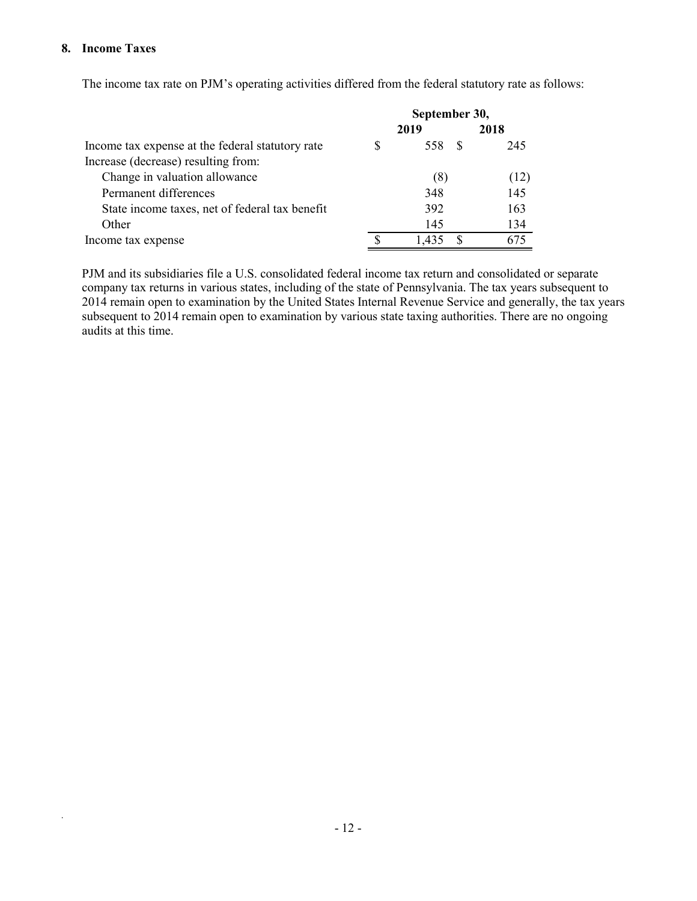### **8. Income Taxes**

*.*

The income tax rate on PJM's operating activities differed from the federal statutory rate as follows:

|                                                  | September 30, |       |  |      |  |
|--------------------------------------------------|---------------|-------|--|------|--|
|                                                  |               | 2019  |  | 2018 |  |
| Income tax expense at the federal statutory rate |               | 558   |  | 245  |  |
| Increase (decrease) resulting from:              |               |       |  |      |  |
| Change in valuation allowance                    |               | (8)   |  | (12) |  |
| Permanent differences                            |               | 348   |  | 145  |  |
| State income taxes, net of federal tax benefit   |               | 392   |  | 163  |  |
| Other                                            |               | 145   |  | 134  |  |
| Income tax expense                               |               | 1.435 |  | 675  |  |

PJM and its subsidiaries file a U.S. consolidated federal income tax return and consolidated or separate company tax returns in various states, including of the state of Pennsylvania. The tax years subsequent to 2014 remain open to examination by the United States Internal Revenue Service and generally, the tax years subsequent to 2014 remain open to examination by various state taxing authorities. There are no ongoing audits at this time.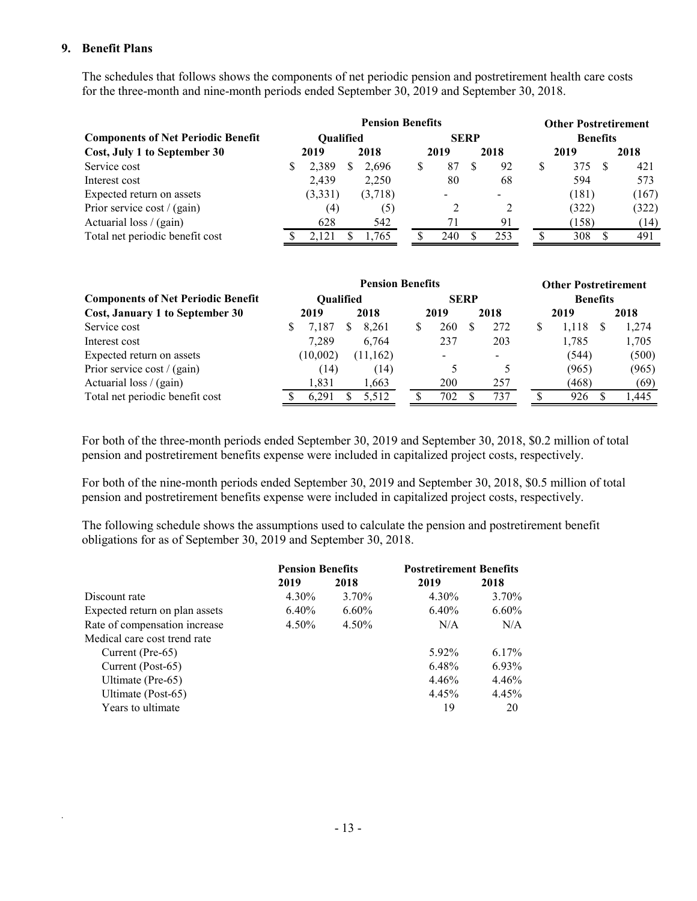### **9. Benefit Plans**

*.*

The schedules that follows shows the components of net periodic pension and postretirement health care costs for the three-month and nine-month periods ended September 30, 2019 and September 30, 2018.

|                                           | <b>Pension Benefits</b> |                  |  |         |   |             |  |      | <b>Other Postretirement</b> |       |  |       |  |
|-------------------------------------------|-------------------------|------------------|--|---------|---|-------------|--|------|-----------------------------|-------|--|-------|--|
| <b>Components of Net Periodic Benefit</b> |                         | <b>Oualified</b> |  |         |   | <b>SERP</b> |  |      | <b>Benefits</b>             |       |  |       |  |
| Cost, July 1 to September 30              |                         | 2019             |  | 2018    |   | 2019        |  | 2018 | 2019                        |       |  | 2018  |  |
| Service cost                              |                         | 2,389            |  | 2,696   | S | 87          |  | 92   | S                           | 375   |  | 421   |  |
| Interest cost                             |                         | 2,439            |  | 2,250   |   | 80          |  | 68   |                             | 594   |  | 573   |  |
| Expected return on assets                 |                         | (3,331)          |  | (3,718) |   |             |  |      |                             | (181) |  | (167) |  |
| Prior service cost / (gain)               |                         | (4)              |  | (5)     |   | 2           |  |      |                             | (322) |  | (322) |  |
| Actuarial loss $/$ (gain)                 |                         | 628              |  | 542     |   |             |  | 91   |                             | (158) |  | (14)  |  |
| Total net periodic benefit cost           |                         | 2.121            |  | 1,765   |   | 240         |  | 253  |                             | 308   |  | 491   |  |

|                                           |                  | <b>Pension Benefits</b> |  |              | <b>Other Postretirement</b> |     |  |                 |  |       |
|-------------------------------------------|------------------|-------------------------|--|--------------|-----------------------------|-----|--|-----------------|--|-------|
| <b>Components of Net Periodic Benefit</b> | <b>Oualified</b> |                         |  |              | <b>SERP</b>                 |     |  | <b>Benefits</b> |  |       |
| Cost, January 1 to September 30           | 2018<br>2019     |                         |  | 2018<br>2019 |                             |     |  | 2019            |  | 2018  |
| Service cost                              | 7.187            | 8.261                   |  | 260          |                             | 272 |  | 1,118           |  | 1,274 |
| Interest cost                             | 7.289            | 6,764                   |  | 237          |                             | 203 |  | 1,785           |  | 1,705 |
| Expected return on assets                 | (10,002)         | (11,162)                |  |              |                             |     |  | (544)           |  | (500) |
| Prior service cost / (gain)               | (14)             | (14)                    |  |              |                             |     |  | (965)           |  | (965) |
| Actuarial loss / (gain)                   | 1.831            | 1,663                   |  | 200          |                             | 257 |  | (468)           |  | (69)  |
| Total net periodic benefit cost           | 6.291            | 5,512                   |  | 702          |                             | 737 |  | 926             |  | .445  |

For both of the three-month periods ended September 30, 2019 and September 30, 2018, \$0.2 million of total pension and postretirement benefits expense were included in capitalized project costs, respectively.

For both of the nine-month periods ended September 30, 2019 and September 30, 2018, \$0.5 million of total pension and postretirement benefits expense were included in capitalized project costs, respectively.

The following schedule shows the assumptions used to calculate the pension and postretirement benefit obligations for as of September 30, 2019 and September 30, 2018.

|                                | <b>Pension Benefits</b> |          | <b>Postretirement Benefits</b> |          |
|--------------------------------|-------------------------|----------|--------------------------------|----------|
|                                | 2019                    | 2018     | 2019                           | 2018     |
| Discount rate                  | 4.30%                   | 3.70%    | 4.30%                          | 3.70%    |
| Expected return on plan assets | $6.40\%$                | $6.60\%$ | $6.40\%$                       | $6.60\%$ |
| Rate of compensation increase  | 4.50%                   | 4.50%    | N/A                            | N/A      |
| Medical care cost trend rate   |                         |          |                                |          |
| Current (Pre-65)               |                         |          | 5.92%                          | $6.17\%$ |
| Current (Post-65)              |                         |          | 6.48%                          | 6.93%    |
| Ultimate (Pre-65)              |                         |          | 4.46%                          | 4.46%    |
| Ultimate (Post-65)             |                         |          | 4.45%                          | 4.45%    |
| Years to ultimate              |                         |          | 19                             | 20       |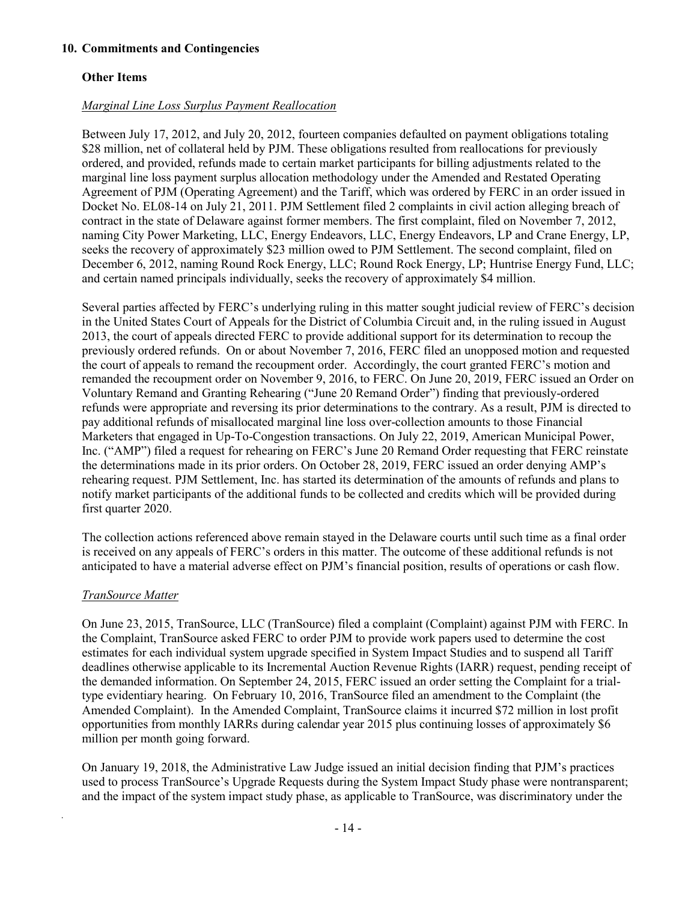# **Other Items**

# *Marginal Line Loss Surplus Payment Reallocation*

Between July 17, 2012, and July 20, 2012, fourteen companies defaulted on payment obligations totaling \$28 million, net of collateral held by PJM. These obligations resulted from reallocations for previously ordered, and provided, refunds made to certain market participants for billing adjustments related to the marginal line loss payment surplus allocation methodology under the Amended and Restated Operating Agreement of PJM (Operating Agreement) and the Tariff, which was ordered by FERC in an order issued in Docket No. EL08-14 on July 21, 2011. PJM Settlement filed 2 complaints in civil action alleging breach of contract in the state of Delaware against former members. The first complaint, filed on November 7, 2012, naming City Power Marketing, LLC, Energy Endeavors, LLC, Energy Endeavors, LP and Crane Energy, LP, seeks the recovery of approximately \$23 million owed to PJM Settlement. The second complaint, filed on December 6, 2012, naming Round Rock Energy, LLC; Round Rock Energy, LP; Huntrise Energy Fund, LLC; and certain named principals individually, seeks the recovery of approximately \$4 million.

Several parties affected by FERC's underlying ruling in this matter sought judicial review of FERC's decision in the United States Court of Appeals for the District of Columbia Circuit and, in the ruling issued in August 2013, the court of appeals directed FERC to provide additional support for its determination to recoup the previously ordered refunds. On or about November 7, 2016, FERC filed an unopposed motion and requested the court of appeals to remand the recoupment order. Accordingly, the court granted FERC's motion and remanded the recoupment order on November 9, 2016, to FERC. On June 20, 2019, FERC issued an Order on Voluntary Remand and Granting Rehearing ("June 20 Remand Order") finding that previously-ordered refunds were appropriate and reversing its prior determinations to the contrary. As a result, PJM is directed to pay additional refunds of misallocated marginal line loss over-collection amounts to those Financial Marketers that engaged in Up-To-Congestion transactions. On July 22, 2019, American Municipal Power, Inc. ("AMP") filed a request for rehearing on FERC's June 20 Remand Order requesting that FERC reinstate the determinations made in its prior orders. On October 28, 2019, FERC issued an order denying AMP's rehearing request. PJM Settlement, Inc. has started its determination of the amounts of refunds and plans to notify market participants of the additional funds to be collected and credits which will be provided during first quarter 2020.

The collection actions referenced above remain stayed in the Delaware courts until such time as a final order is received on any appeals of FERC's orders in this matter. The outcome of these additional refunds is not anticipated to have a material adverse effect on PJM's financial position, results of operations or cash flow.

### *TranSource Matter*

*.*

On June 23, 2015, TranSource, LLC (TranSource) filed a complaint (Complaint) against PJM with FERC. In the Complaint, TranSource asked FERC to order PJM to provide work papers used to determine the cost estimates for each individual system upgrade specified in System Impact Studies and to suspend all Tariff deadlines otherwise applicable to its Incremental Auction Revenue Rights (IARR) request, pending receipt of the demanded information. On September 24, 2015, FERC issued an order setting the Complaint for a trialtype evidentiary hearing. On February 10, 2016, TranSource filed an amendment to the Complaint (the Amended Complaint). In the Amended Complaint, TranSource claims it incurred \$72 million in lost profit opportunities from monthly IARRs during calendar year 2015 plus continuing losses of approximately \$6 million per month going forward.

On January 19, 2018, the Administrative Law Judge issued an initial decision finding that PJM's practices used to process TranSource's Upgrade Requests during the System Impact Study phase were nontransparent; and the impact of the system impact study phase, as applicable to TranSource, was discriminatory under the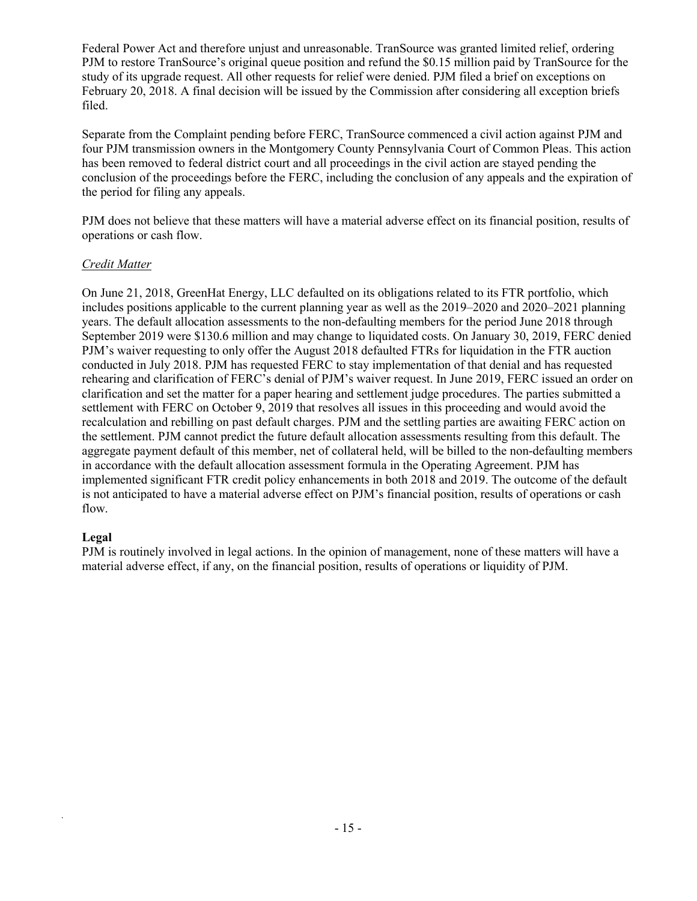Federal Power Act and therefore unjust and unreasonable. TranSource was granted limited relief, ordering PJM to restore TranSource's original queue position and refund the \$0.15 million paid by TranSource for the study of its upgrade request. All other requests for relief were denied. PJM filed a brief on exceptions on February 20, 2018. A final decision will be issued by the Commission after considering all exception briefs filed.

Separate from the Complaint pending before FERC, TranSource commenced a civil action against PJM and four PJM transmission owners in the Montgomery County Pennsylvania Court of Common Pleas. This action has been removed to federal district court and all proceedings in the civil action are stayed pending the conclusion of the proceedings before the FERC, including the conclusion of any appeals and the expiration of the period for filing any appeals.

PJM does not believe that these matters will have a material adverse effect on its financial position, results of operations or cash flow.

# *Credit Matter*

On June 21, 2018, GreenHat Energy, LLC defaulted on its obligations related to its FTR portfolio, which includes positions applicable to the current planning year as well as the 2019–2020 and 2020–2021 planning years. The default allocation assessments to the non-defaulting members for the period June 2018 through September 2019 were \$130.6 million and may change to liquidated costs. On January 30, 2019, FERC denied PJM's waiver requesting to only offer the August 2018 defaulted FTRs for liquidation in the FTR auction conducted in July 2018. PJM has requested FERC to stay implementation of that denial and has requested rehearing and clarification of FERC's denial of PJM's waiver request. In June 2019, FERC issued an order on clarification and set the matter for a paper hearing and settlement judge procedures. The parties submitted a settlement with FERC on October 9, 2019 that resolves all issues in this proceeding and would avoid the recalculation and rebilling on past default charges. PJM and the settling parties are awaiting FERC action on the settlement. PJM cannot predict the future default allocation assessments resulting from this default. The aggregate payment default of this member, net of collateral held, will be billed to the non-defaulting members in accordance with the default allocation assessment formula in the Operating Agreement. PJM has implemented significant FTR credit policy enhancements in both 2018 and 2019. The outcome of the default is not anticipated to have a material adverse effect on PJM's financial position, results of operations or cash flow.

# **Legal**

*.*

PJM is routinely involved in legal actions. In the opinion of management, none of these matters will have a material adverse effect, if any, on the financial position, results of operations or liquidity of PJM.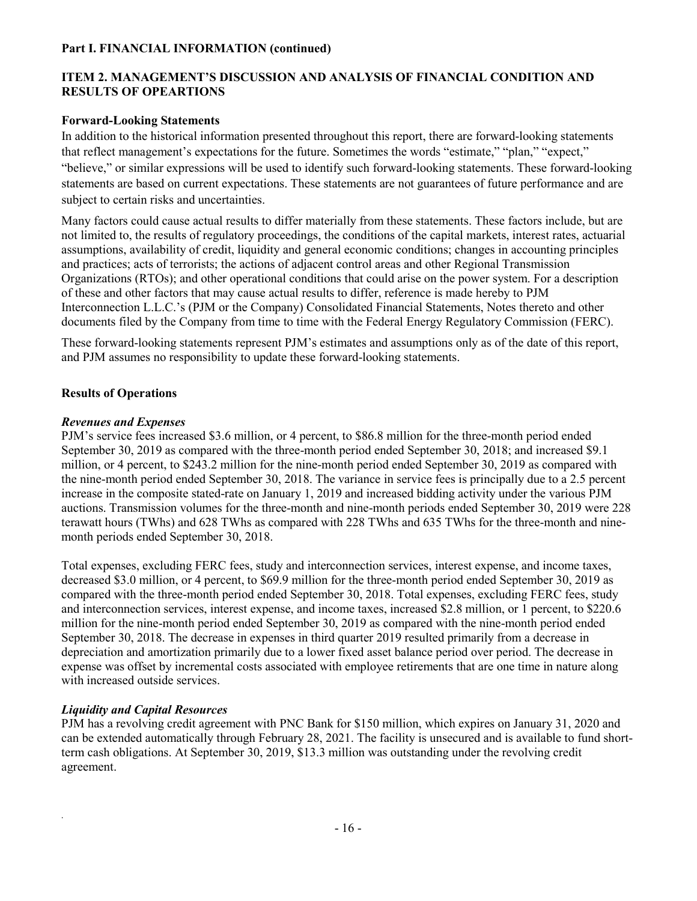### **Part I. FINANCIAL INFORMATION (continued)**

# **ITEM 2. MANAGEMENT'S DISCUSSION AND ANALYSIS OF FINANCIAL CONDITION AND RESULTS OF OPEARTIONS**

### **Forward-Looking Statements**

In addition to the historical information presented throughout this report, there are forward-looking statements that reflect management's expectations for the future. Sometimes the words "estimate," "plan," "expect," "believe," or similar expressions will be used to identify such forward-looking statements. These forward-looking statements are based on current expectations. These statements are not guarantees of future performance and are subject to certain risks and uncertainties.

Many factors could cause actual results to differ materially from these statements. These factors include, but are not limited to, the results of regulatory proceedings, the conditions of the capital markets, interest rates, actuarial assumptions, availability of credit, liquidity and general economic conditions; changes in accounting principles and practices; acts of terrorists; the actions of adjacent control areas and other Regional Transmission Organizations (RTOs); and other operational conditions that could arise on the power system. For a description of these and other factors that may cause actual results to differ, reference is made hereby to PJM Interconnection L.L.C.'s (PJM or the Company) Consolidated Financial Statements, Notes thereto and other documents filed by the Company from time to time with the Federal Energy Regulatory Commission (FERC).

These forward-looking statements represent PJM's estimates and assumptions only as of the date of this report, and PJM assumes no responsibility to update these forward-looking statements.

# **Results of Operations**

### *Revenues and Expenses*

PJM's service fees increased \$3.6 million, or 4 percent, to \$86.8 million for the three-month period ended September 30, 2019 as compared with the three-month period ended September 30, 2018; and increased \$9.1 million, or 4 percent, to \$243.2 million for the nine-month period ended September 30, 2019 as compared with the nine-month period ended September 30, 2018. The variance in service fees is principally due to a 2.5 percent increase in the composite stated-rate on January 1, 2019 and increased bidding activity under the various PJM auctions. Transmission volumes for the three-month and nine-month periods ended September 30, 2019 were 228 terawatt hours (TWhs) and 628 TWhs as compared with 228 TWhs and 635 TWhs for the three-month and ninemonth periods ended September 30, 2018.

Total expenses, excluding FERC fees, study and interconnection services, interest expense, and income taxes, decreased \$3.0 million, or 4 percent, to \$69.9 million for the three-month period ended September 30, 2019 as compared with the three-month period ended September 30, 2018. Total expenses, excluding FERC fees, study and interconnection services, interest expense, and income taxes, increased \$2.8 million, or 1 percent, to \$220.6 million for the nine-month period ended September 30, 2019 as compared with the nine-month period ended September 30, 2018. The decrease in expenses in third quarter 2019 resulted primarily from a decrease in depreciation and amortization primarily due to a lower fixed asset balance period over period. The decrease in expense was offset by incremental costs associated with employee retirements that are one time in nature along with increased outside services.

### *Liquidity and Capital Resources*

*.*

PJM has a revolving credit agreement with PNC Bank for \$150 million, which expires on January 31, 2020 and can be extended automatically through February 28, 2021. The facility is unsecured and is available to fund shortterm cash obligations. At September 30, 2019, \$13.3 million was outstanding under the revolving credit agreement.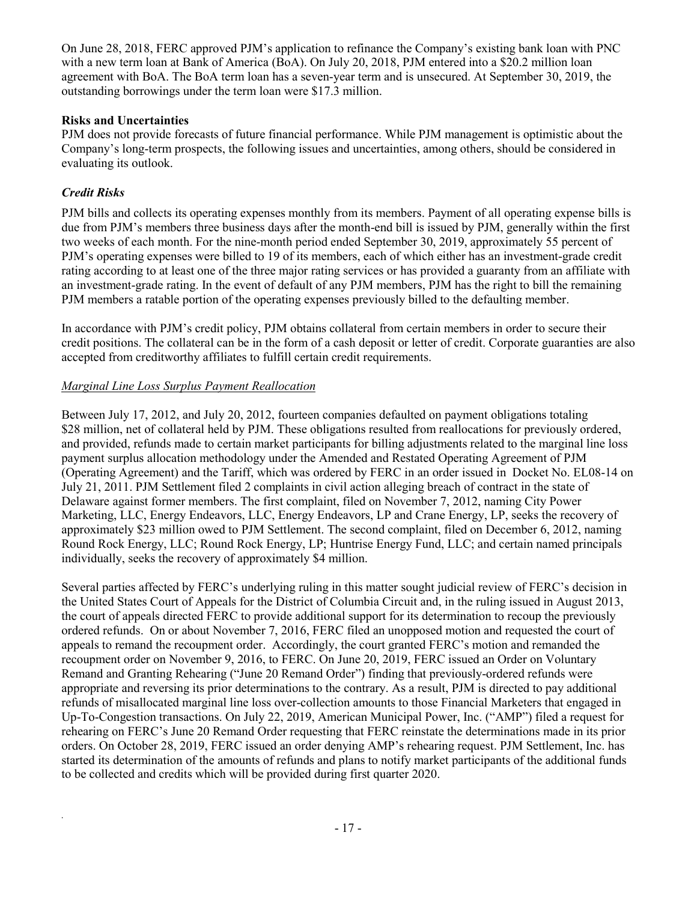On June 28, 2018, FERC approved PJM's application to refinance the Company's existing bank loan with PNC with a new term loan at Bank of America (BoA). On July 20, 2018, PJM entered into a \$20.2 million loan agreement with BoA. The BoA term loan has a seven-year term and is unsecured. At September 30, 2019, the outstanding borrowings under the term loan were \$17.3 million.

# **Risks and Uncertainties**

PJM does not provide forecasts of future financial performance. While PJM management is optimistic about the Company's long-term prospects, the following issues and uncertainties, among others, should be considered in evaluating its outlook.

# *Credit Risks*

*.*

PJM bills and collects its operating expenses monthly from its members. Payment of all operating expense bills is due from PJM's members three business days after the month-end bill is issued by PJM, generally within the first two weeks of each month. For the nine-month period ended September 30, 2019, approximately 55 percent of PJM's operating expenses were billed to 19 of its members, each of which either has an investment-grade credit rating according to at least one of the three major rating services or has provided a guaranty from an affiliate with an investment-grade rating. In the event of default of any PJM members, PJM has the right to bill the remaining PJM members a ratable portion of the operating expenses previously billed to the defaulting member.

In accordance with PJM's credit policy, PJM obtains collateral from certain members in order to secure their credit positions. The collateral can be in the form of a cash deposit or letter of credit. Corporate guaranties are also accepted from creditworthy affiliates to fulfill certain credit requirements.

# *Marginal Line Loss Surplus Payment Reallocation*

Between July 17, 2012, and July 20, 2012, fourteen companies defaulted on payment obligations totaling \$28 million, net of collateral held by PJM. These obligations resulted from reallocations for previously ordered, and provided, refunds made to certain market participants for billing adjustments related to the marginal line loss payment surplus allocation methodology under the Amended and Restated Operating Agreement of PJM (Operating Agreement) and the Tariff, which was ordered by FERC in an order issued in Docket No. EL08-14 on July 21, 2011. PJM Settlement filed 2 complaints in civil action alleging breach of contract in the state of Delaware against former members. The first complaint, filed on November 7, 2012, naming City Power Marketing, LLC, Energy Endeavors, LLC, Energy Endeavors, LP and Crane Energy, LP, seeks the recovery of approximately \$23 million owed to PJM Settlement. The second complaint, filed on December 6, 2012, naming Round Rock Energy, LLC; Round Rock Energy, LP; Huntrise Energy Fund, LLC; and certain named principals individually, seeks the recovery of approximately \$4 million.

Several parties affected by FERC's underlying ruling in this matter sought judicial review of FERC's decision in the United States Court of Appeals for the District of Columbia Circuit and, in the ruling issued in August 2013, the court of appeals directed FERC to provide additional support for its determination to recoup the previously ordered refunds. On or about November 7, 2016, FERC filed an unopposed motion and requested the court of appeals to remand the recoupment order. Accordingly, the court granted FERC's motion and remanded the recoupment order on November 9, 2016, to FERC. On June 20, 2019, FERC issued an Order on Voluntary Remand and Granting Rehearing ("June 20 Remand Order") finding that previously-ordered refunds were appropriate and reversing its prior determinations to the contrary. As a result, PJM is directed to pay additional refunds of misallocated marginal line loss over-collection amounts to those Financial Marketers that engaged in Up-To-Congestion transactions. On July 22, 2019, American Municipal Power, Inc. ("AMP") filed a request for rehearing on FERC's June 20 Remand Order requesting that FERC reinstate the determinations made in its prior orders. On October 28, 2019, FERC issued an order denying AMP's rehearing request. PJM Settlement, Inc. has started its determination of the amounts of refunds and plans to notify market participants of the additional funds to be collected and credits which will be provided during first quarter 2020.